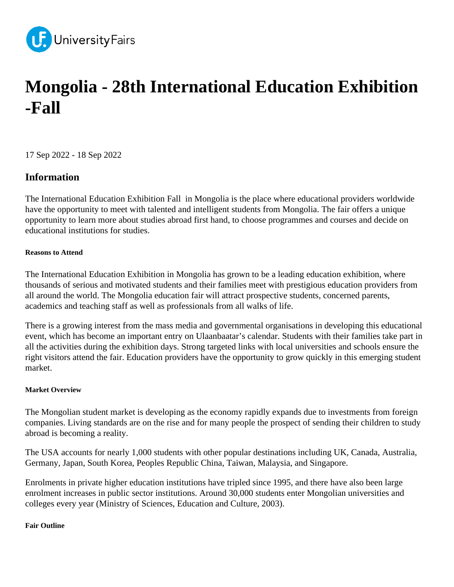

# **Mongolia - 28th International Education Exhibition -Fall**

17 Sep 2022 - 18 Sep 2022

# **Information**

The International Education Exhibition Fall in Mongolia is the place where educational providers worldwide have the opportunity to meet with talented and intelligent students from Mongolia. The fair offers a unique opportunity to learn more about studies abroad first hand, to choose programmes and courses and decide on educational institutions for studies.

## **Reasons to Attend**

The International Education Exhibition in Mongolia has grown to be a leading education exhibition, where thousands of serious and motivated students and their families meet with prestigious education providers from all around the world. The Mongolia education fair will attract prospective students, concerned parents, academics and teaching staff as well as professionals from all walks of life.

There is a growing interest from the mass media and governmental organisations in developing this educational event, which has become an important entry on Ulaanbaatar's calendar. Students with their families take part in all the activities during the exhibition days. Strong targeted links with local universities and schools ensure the right visitors attend the fair. Education providers have the opportunity to grow quickly in this emerging student market.

## **Market Overview**

The Mongolian student market is developing as the economy rapidly expands due to investments from foreign companies. Living standards are on the rise and for many people the prospect of sending their children to study abroad is becoming a reality.

The USA accounts for nearly 1,000 students with other popular destinations including UK, Canada, Australia, Germany, Japan, South Korea, Peoples Republic China, Taiwan, Malaysia, and Singapore.

Enrolments in private higher education institutions have tripled since 1995, and there have also been large enrolment increases in public sector institutions. Around 30,000 students enter Mongolian universities and colleges every year (Ministry of Sciences, Education and Culture, 2003).

#### **Fair Outline**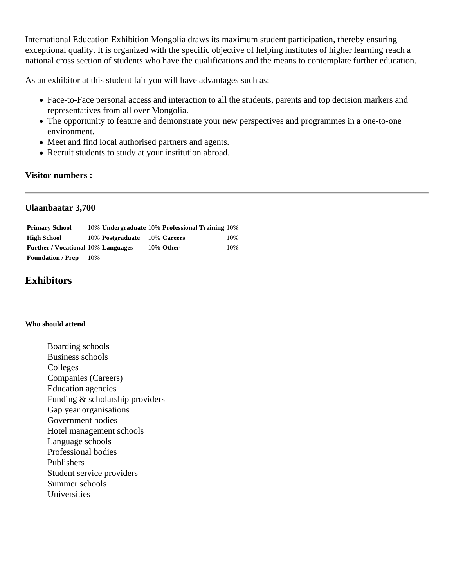International Education Exhibition Mongolia draws its maximum student participation, thereby ensuring exceptional quality. It is organized with the specific objective of helping institutes of higher learning reach a national cross section of students who have the qualifications and the means to contemplate further education.

As an exhibitor at this student fair you will have advantages such as:

- Face-to-Face personal access and interaction to all the students, parents and top decision markers and representatives from all over Mongolia.
- The opportunity to feature and demonstrate your new perspectives and programmes in a one-to-one environment.
- Meet and find local authorised partners and agents.
- Recruit students to study at your institution abroad.

## **Visitor numbers :**

## **Ulaanbaatar 3,700**

| <b>Primary School</b>                     |     |                              | 10% Undergraduate 10% Professional Training 10% |     |
|-------------------------------------------|-----|------------------------------|-------------------------------------------------|-----|
| High School                               |     | 10% Postgraduate 10% Careers |                                                 | 10% |
| <b>Further / Vocational 10% Languages</b> |     |                              | 10% Other                                       | 10% |
| <b>Foundation / Prep</b>                  | 10% |                              |                                                 |     |

# **Exhibitors**

#### **Who should attend**

Boarding schools Business schools Colleges Companies (Careers) Education agencies Funding & scholarship providers Gap year organisations Government bodies Hotel management schools Language schools Professional bodies Publishers Student service providers Summer schools Universities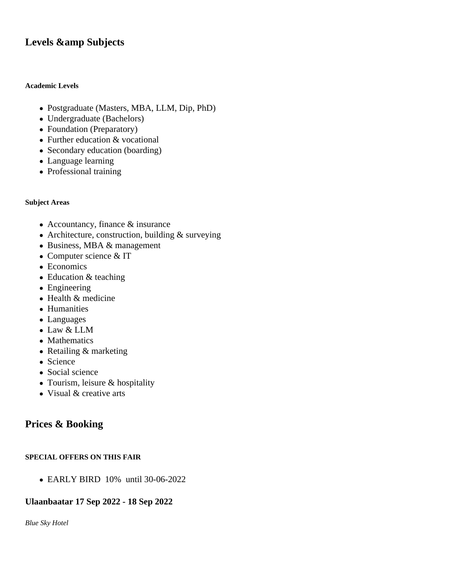# Levels & amp Subjects

#### **Academic Levels**

- Postgraduate (Masters, MBA, LLM, Dip, PhD)
- Undergraduate (Bachelors)
- Foundation (Preparatory)
- Further education & vocational
- Secondary education (boarding)
- Language learning
- Professional training

#### **Subject Areas**

- Accountancy, finance & insurance
- Architecture, construction, building & surveying
- Business, MBA & management
- Computer science & IT
- Economics
- Education & teaching
- Engineering
- Health & medicine
- Humanities
- Languages
- Law & LLM
- Mathematics
- Retailing & marketing
- Science
- Social science
- Tourism, leisure & hospitality
- Visual & creative arts

# **Prices & Booking**

#### **SPECIAL OFFERS ON THIS FAIR**

EARLY BIRD 10% until 30-06-2022

## **Ulaanbaatar 17 Sep 2022 - 18 Sep 2022**

*Blue Sky Hotel*